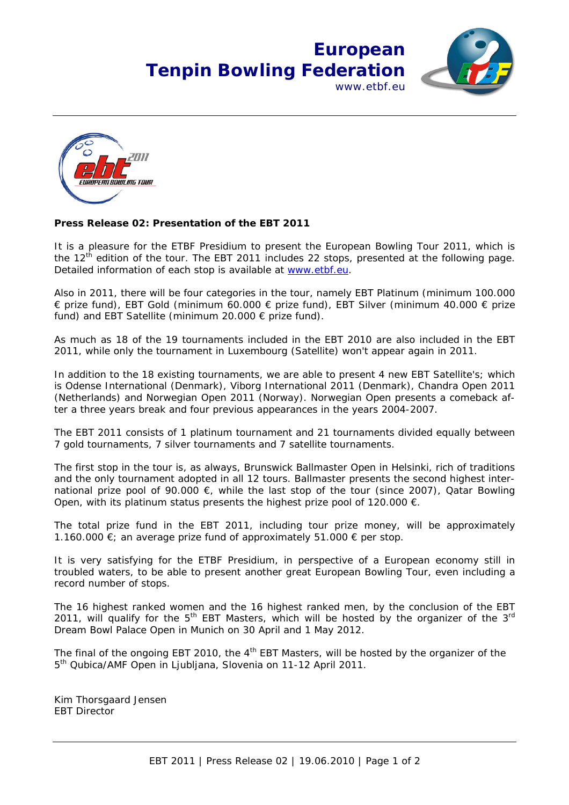## **European Tenpin Bowling Federation** www.ethf.eu





## **Press Release 02: Presentation of the EBT 2011**

It is a pleasure for the ETBF Presidium to present the European Bowling Tour 2011, which is the  $12<sup>th</sup>$  edition of the tour. The EBT 2011 includes 22 stops, presented at the following page. Detailed information of each stop is available at www.etbf.eu.

Also in 2011, there will be four categories in the tour, namely EBT Platinum (minimum 100.000 € prize fund), EBT Gold (minimum 60.000 € prize fund), EBT Silver (minimum 40.000 € prize fund) and EBT Satellite (minimum 20.000 € prize fund).

As much as 18 of the 19 tournaments included in the EBT 2010 are also included in the EBT 2011, while only the tournament in Luxembourg (Satellite) won't appear again in 2011.

In addition to the 18 existing tournaments, we are able to present 4 new EBT Satellite's; which is Odense International (Denmark), Viborg International 2011 (Denmark), Chandra Open 2011 (Netherlands) and Norwegian Open 2011 (Norway). Norwegian Open presents a comeback after a three years break and four previous appearances in the years 2004-2007.

The EBT 2011 consists of 1 platinum tournament and 21 tournaments divided equally between 7 gold tournaments, 7 silver tournaments and 7 satellite tournaments.

The first stop in the tour is, as always, Brunswick Ballmaster Open in Helsinki, rich of traditions and the only tournament adopted in all 12 tours. Ballmaster presents the second highest international prize pool of 90.000  $\epsilon$ , while the last stop of the tour (since 2007), Qatar Bowling Open, with its platinum status presents the highest prize pool of 120.000  $\epsilon$ .

The total prize fund in the EBT 2011, including tour prize money, will be approximately 1.160.000 €; an average prize fund of approximately 51.000 € per stop.

It is very satisfying for the ETBF Presidium, in perspective of a European economy still in troubled waters, to be able to present another great European Bowling Tour, even including a record number of stops.

The 16 highest ranked women and the 16 highest ranked men, by the conclusion of the EBT 2011, will qualify for the  $5<sup>th</sup>$  EBT Masters, which will be hosted by the organizer of the  $3<sup>rd</sup>$ Dream Bowl Palace Open in Munich on 30 April and 1 May 2012.

The final of the ongoing EBT 2010, the  $4<sup>th</sup>$  EBT Masters, will be hosted by the organizer of the 5th Qubica/AMF Open in Ljubljana, Slovenia on 11-12 April 2011.

Kim Thorsgaard Jensen EBT Director